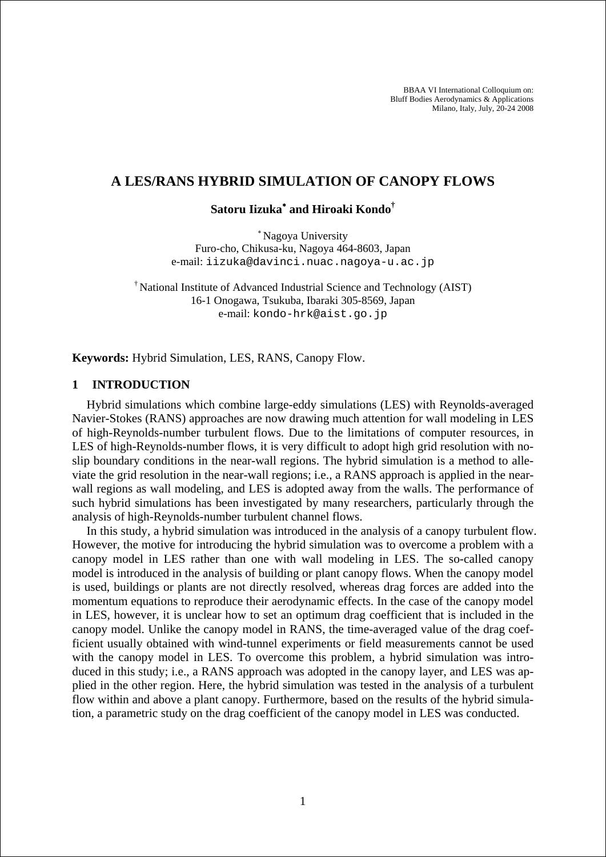BBAA VI International Colloquium on: Bluff Bodies Aerodynamics & Applications Milano, Italy, July, 20-24 2008

### **A LES/RANS HYBRID SIMULATION OF CANOPY FLOWS**

# **Satoru Iizuka**<sup>∗</sup>  **and Hiroaki Kondo†**

<sup>∗</sup> Nagoya University Furo-cho, Chikusa-ku, Nagoya 464-8603, Japan e-mail: iizuka@davinci.nuac.nagoya-u.ac.jp

† National Institute of Advanced Industrial Science and Technology (AIST) 16-1 Onogawa, Tsukuba, Ibaraki 305-8569, Japan e-mail: kondo-hrk@aist.go.jp

**Keywords:** Hybrid Simulation, LES, RANS, Canopy Flow.

#### **1 INTRODUCTION**

Hybrid simulations which combine large-eddy simulations (LES) with Reynolds-averaged Navier-Stokes (RANS) approaches are now drawing much attention for wall modeling in LES of high-Reynolds-number turbulent flows. Due to the limitations of computer resources, in LES of high-Reynolds-number flows, it is very difficult to adopt high grid resolution with noslip boundary conditions in the near-wall regions. The hybrid simulation is a method to alleviate the grid resolution in the near-wall regions; i.e., a RANS approach is applied in the nearwall regions as wall modeling, and LES is adopted away from the walls. The performance of such hybrid simulations has been investigated by many researchers, particularly through the analysis of high-Reynolds-number turbulent channel flows.

In this study, a hybrid simulation was introduced in the analysis of a canopy turbulent flow. However, the motive for introducing the hybrid simulation was to overcome a problem with a canopy model in LES rather than one with wall modeling in LES. The so-called canopy model is introduced in the analysis of building or plant canopy flows. When the canopy model is used, buildings or plants are not directly resolved, whereas drag forces are added into the momentum equations to reproduce their aerodynamic effects. In the case of the canopy model in LES, however, it is unclear how to set an optimum drag coefficient that is included in the canopy model. Unlike the canopy model in RANS, the time-averaged value of the drag coefficient usually obtained with wind-tunnel experiments or field measurements cannot be used with the canopy model in LES. To overcome this problem, a hybrid simulation was introduced in this study; i.e., a RANS approach was adopted in the canopy layer, and LES was applied in the other region. Here, the hybrid simulation was tested in the analysis of a turbulent flow within and above a plant canopy. Furthermore, based on the results of the hybrid simulation, a parametric study on the drag coefficient of the canopy model in LES was conducted.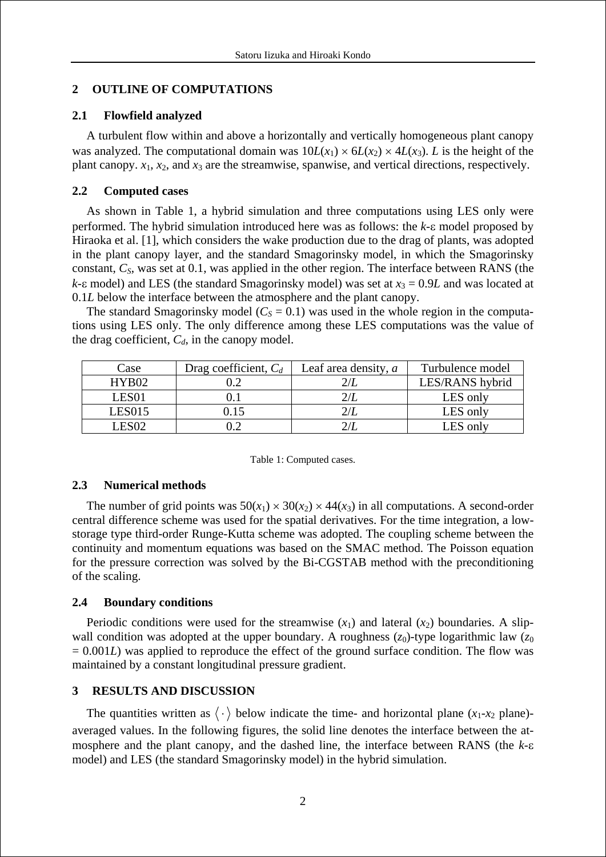# **2 OUTLINE OF COMPUTATIONS**

## **2.1 Flowfield analyzed**

A turbulent flow within and above a horizontally and vertically homogeneous plant canopy was analyzed. The computational domain was  $10L(x_1) \times 6L(x_2) \times 4L(x_3)$ . *L* is the height of the plant canopy.  $x_1$ ,  $x_2$ , and  $x_3$  are the streamwise, spanwise, and vertical directions, respectively.

## **2.2 Computed cases**

As shown in Table 1, a hybrid simulation and three computations using LES only were performed. The hybrid simulation introduced here was as follows: the *k*-ε model proposed by Hiraoka et al. [1], which considers the wake production due to the drag of plants, was adopted in the plant canopy layer, and the standard Smagorinsky model, in which the Smagorinsky constant,  $C_s$ , was set at 0.1, was applied in the other region. The interface between RANS (the  $k$ -ε model) and LES (the standard Smagorinsky model) was set at  $x_3 = 0.9L$  and was located at 0.1*L* below the interface between the atmosphere and the plant canopy.

The standard Smagorinsky model ( $C_s = 0.1$ ) was used in the whole region in the computations using LES only. The only difference among these LES computations was the value of the drag coefficient,  $C_d$ , in the canopy model.

| Case              | Drag coefficient, $C_d$ | Leaf area density, $a$ | Turbulence model |
|-------------------|-------------------------|------------------------|------------------|
| HYB02             |                         |                        | LES/RANS hybrid  |
| LES <sub>01</sub> |                         |                        | LES only         |
| <b>LES015</b>     |                         |                        | LES only         |
| $ESP^2$           |                         |                        | .ES only         |

#### Table 1: Computed cases.

## **2.3 Numerical methods**

The number of grid points was  $50(x_1) \times 30(x_2) \times 44(x_3)$  in all computations. A second-order central difference scheme was used for the spatial derivatives. For the time integration, a lowstorage type third-order Runge-Kutta scheme was adopted. The coupling scheme between the continuity and momentum equations was based on the SMAC method. The Poisson equation for the pressure correction was solved by the Bi-CGSTAB method with the preconditioning of the scaling.

## **2.4 Boundary conditions**

Periodic conditions were used for the streamwise  $(x_1)$  and lateral  $(x_2)$  boundaries. A slipwall condition was adopted at the upper boundary. A roughness  $(z_0)$ -type logarithmic law  $(z_0)$  $= 0.001L$ ) was applied to reproduce the effect of the ground surface condition. The flow was maintained by a constant longitudinal pressure gradient.

## **3 RESULTS AND DISCUSSION**

The quantities written as  $\langle \cdot \rangle$  below indicate the time- and horizontal plane  $(x_1-x_2)$  plane)averaged values. In the following figures, the solid line denotes the interface between the atmosphere and the plant canopy, and the dashed line, the interface between RANS (the *k*-ε model) and LES (the standard Smagorinsky model) in the hybrid simulation.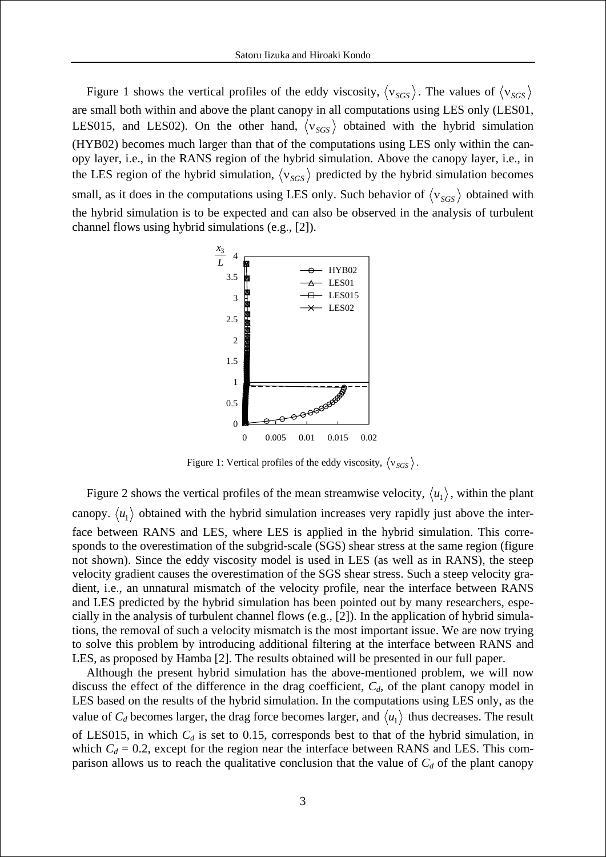Figure 1 shows the vertical profiles of the eddy viscosity,  $\langle v_{SGS} \rangle$ . The values of  $\langle v_{SGS} \rangle$ are small both within and above the plant canopy in all computations using LES only (LES01, LES015, and LES02). On the other hand,  $\langle v_{SGS} \rangle$  obtained with the hybrid simulation (HYB02) becomes much larger than that of the computations using LES only within the canopy layer, i.e., in the RANS region of the hybrid simulation. Above the canopy layer, i.e., in the LES region of the hybrid simulation,  $\langle v_{SGS} \rangle$  predicted by the hybrid simulation becomes small, as it does in the computations using LES only. Such behavior of  $\langle v_{SGS} \rangle$  obtained with the hybrid simulation is to be expected and can also be observed in the analysis of turbulent channel flows using hybrid simulations (e.g., [2]).



Figure 1: Vertical profiles of the eddy viscosity,  $\langle v_{SGS} \rangle$ .

Figure 2 shows the vertical profiles of the mean streamwise velocity,  $\langle u_1 \rangle$ , within the plant canopy.  $\langle u_1 \rangle$  obtained with the hybrid simulation increases very rapidly just above the interface between RANS and LES, where LES is applied in the hybrid simulation. This corresponds to the overestimation of the subgrid-scale (SGS) shear stress at the same region (figure not shown). Since the eddy viscosity model is used in LES (as well as in RANS), the steep velocity gradient causes the overestimation of the SGS shear stress. Such a steep velocity gradient, i.e., an unnatural mismatch of the velocity profile, near the interface between RANS and LES predicted by the hybrid simulation has been pointed out by many researchers, especially in the analysis of turbulent channel flows (e.g., [2]). In the application of hybrid simulations, the removal of such a velocity mismatch is the most important issue. We are now trying to solve this problem by introducing additional filtering at the interface between RANS and LES, as proposed by Hamba [2]. The results obtained will be presented in our full paper.

Although the present hybrid simulation has the above-mentioned problem, we will now discuss the effect of the difference in the drag coefficient,  $C_d$ , of the plant canopy model in LES based on the results of the hybrid simulation. In the computations using LES only, as the value of  $C_d$  becomes larger, the drag force becomes larger, and  $\langle u_1 \rangle$  thus decreases. The result of LES015, in which  $C_d$  is set to 0.15, corresponds best to that of the hybrid simulation, in which  $C_d = 0.2$ , except for the region near the interface between RANS and LES. This comparison allows us to reach the qualitative conclusion that the value of  $C_d$  of the plant canopy